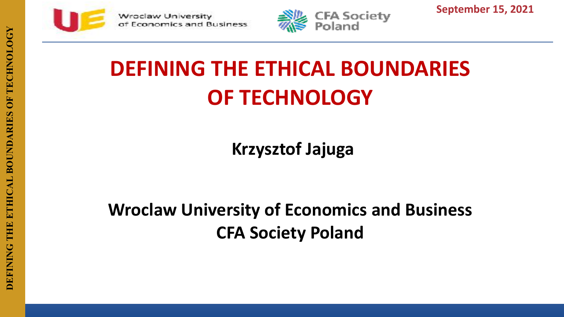



**September 15, 2021**

# **DEFINING THE ETHICAL BOUNDARIES OF TECHNOLOGY**

**Krzysztof Jajuga**

**Wroclaw University of Economics and Business CFA Society Poland**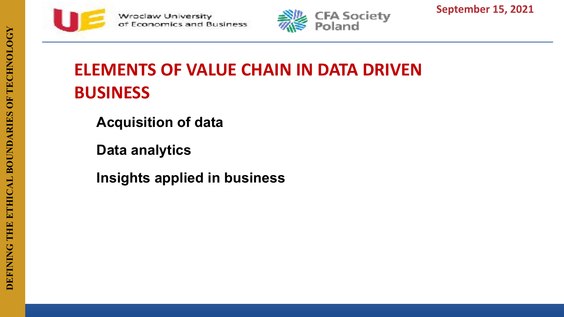



**September 15, 2021**

# **ELEMENTS OF VALUE CHAIN IN DATA DRIVEN BUSINESS**

**Acquisition of data** 

**Data analytics** 

**Insights applied in business**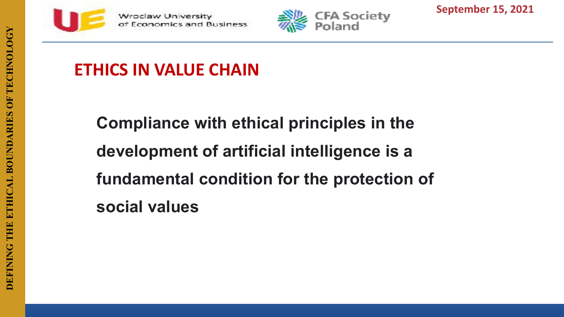



**September 15, 2021**

#### **ETHICS IN VALUE CHAIN**

**Compliance with ethical principles in the development of artificial intelligence is a fundamental condition for the protection of social values**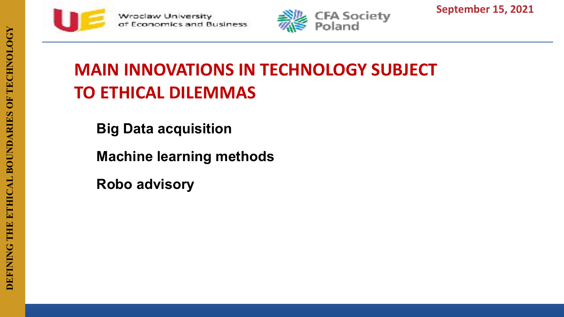



**September 15, 2021**

### **MAIN INNOVATIONS IN TECHNOLOGY SUBJECT TO ETHICAL DILEMMAS**

**Big Data acquisition**

**Machine learning methods**

**Robo advisory**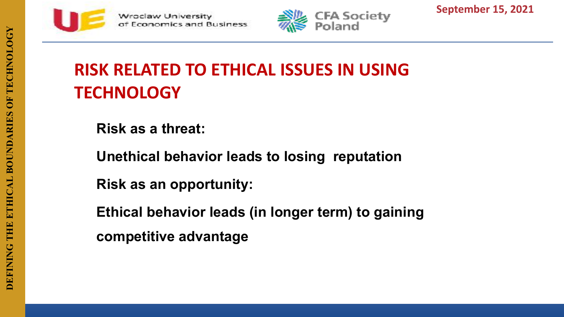



**September 15, 2021**

# **RISK RELATED TO ETHICAL ISSUES IN USING TECHNOLOGY**

**Risk as a threat:**

**Unethical behavior leads to losing reputation**

**Risk as an opportunity:**

**Ethical behavior leads (in longer term) to gaining competitive advantage**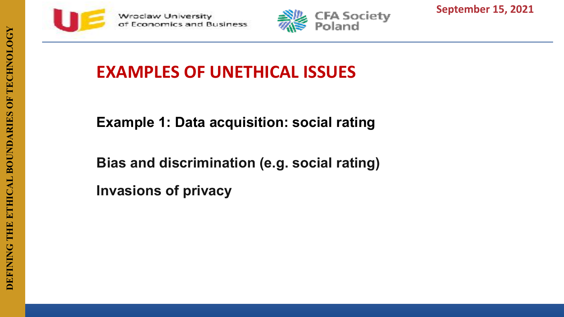



**September 15, 2021**

#### **EXAMPLES OF UNETHICAL ISSUES**

**Example 1: Data acquisition: social rating**

**Bias and discrimination (e.g. social rating) Invasions of privacy**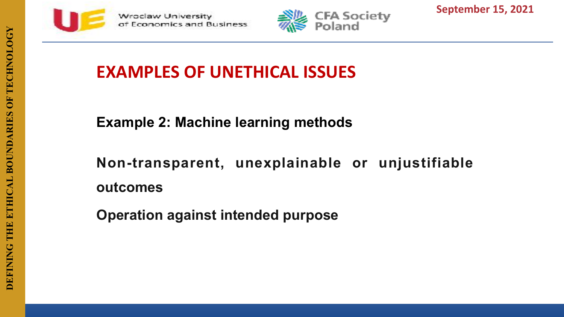



**September 15, 2021**

#### **EXAMPLES OF UNETHICAL ISSUES**

**Example 2: Machine learning methods**

**Non-transparent, unexplainable or unjustifiable outcomes**

**Operation against intended purpose**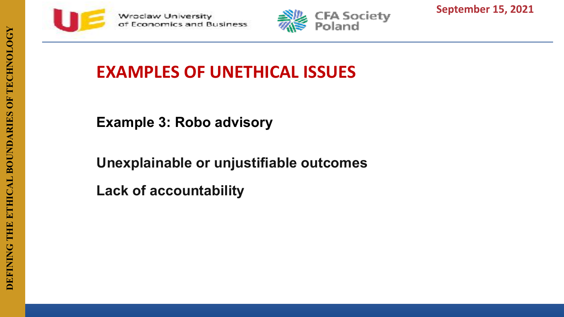



**September 15, 2021**

#### **EXAMPLES OF UNETHICAL ISSUES**

**Example 3: Robo advisory**

**Unexplainable or unjustifiable outcomes**

**Lack of accountability**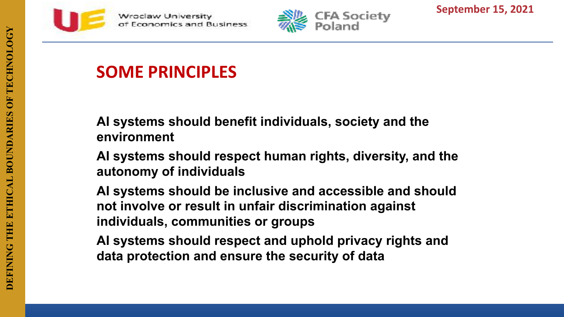



**September 15, 2021**

#### **SOME PRINCIPLES**

**AI systems should benefit individuals, society and the environment**

**AI systems should respect human rights, diversity, and the autonomy of individuals**

**AI systems should be inclusive and accessible and should not involve or result in unfair discrimination against individuals, communities or groups**

**AI systems should respect and uphold privacy rights and data protection and ensure the security of data**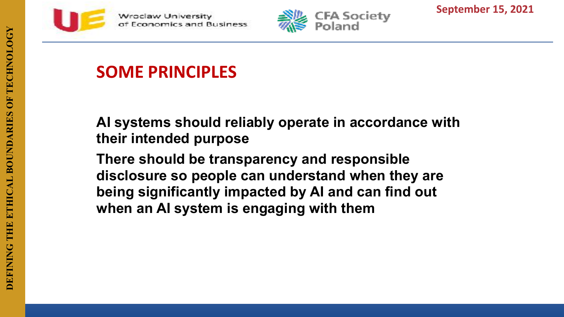



**September 15, 2021**

#### **SOME PRINCIPLES**

**AI systems should reliably operate in accordance with their intended purpose**

**There should be transparency and responsible disclosure so people can understand when they are being significantly impacted by AI and can find out when an AI system is engaging with them**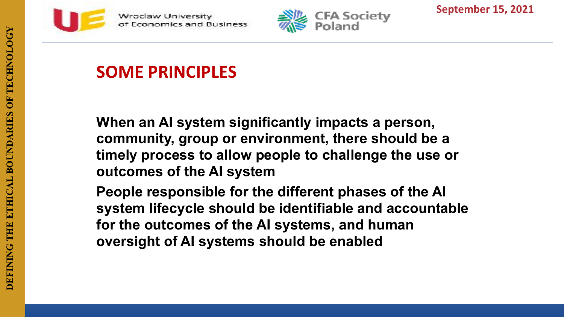

**Mroclaw University** conomics and Business



**September 15, 2021**

#### **SOME PRINCIPLES**

**When an AI system significantly impacts a person, community, group or environment, there should be a timely process to allow people to challenge the use or outcomes of the AI system**

**People responsible for the different phases of the AI system lifecycle should be identifiable and accountable for the outcomes of the AI systems, and human oversight of AI systems should be enabled**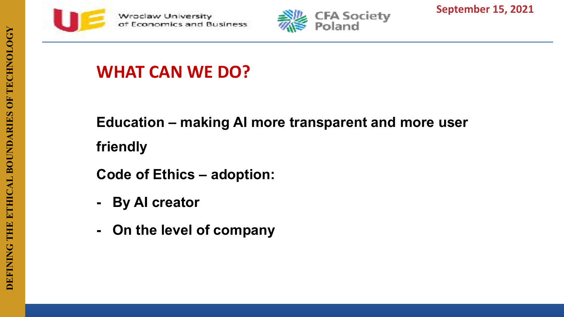



**September 15, 2021**

## **WHAT CAN WE DO?**

**Education – making AI more transparent and more user friendly**

**Code of Ethics – adoption:**

- **- By AI creator**
- **- On the level of company**